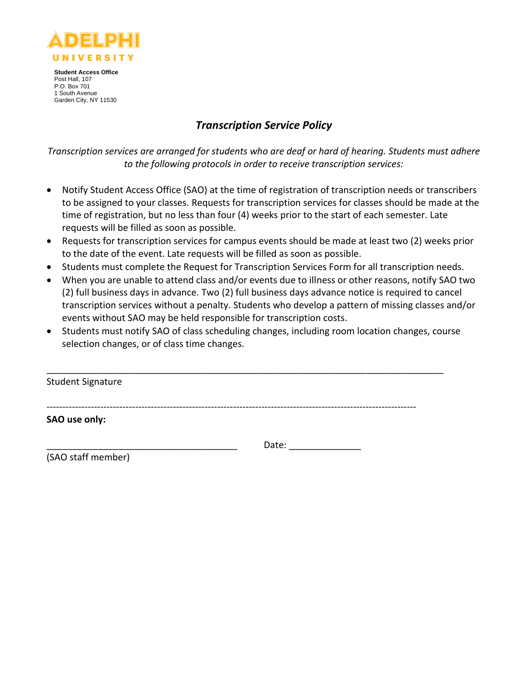

# *Transcription Service Policy*

*Transcription services are arranged for students who are deaf or hard of hearing. Students must adhere to the following protocols in order to receive transcription services:*

- Notify Student Access Office (SAO) at the time of registration of transcription needs or transcribers to be assigned to your classes. Requests for transcription services for classes should be made at the time of registration, but no less than four (4) weeks prior to the start of each semester. Late requests will be filled as soon as possible.
- Requests for transcription services for campus events should be made at least two (2) weeks prior to the date of the event. Late requests will be filled as soon as possible.
- Students must complete the Request for Transcription Services Form for all transcription needs.
- When you are unable to attend class and/or events due to illness or other reasons, notify SAO two (2) full business days in advance. Two (2) full business days advance notice is required to cancel transcription services without a penalty. Students who develop a pattern of missing classes and/or events without SAO may be held responsible for transcription costs.
- Students must notify SAO of class scheduling changes, including room location changes, course selection changes, or of class time changes.

| <b>Student Signature</b> |  |  |
|--------------------------|--|--|
|                          |  |  |
| SAO use only:            |  |  |
|                          |  |  |

(SAO staff member)

\_\_\_\_\_\_\_\_\_\_\_\_\_\_\_\_\_\_\_\_\_\_\_\_\_\_\_\_\_\_\_\_\_\_\_\_\_ Date: \_\_\_\_\_\_\_\_\_\_\_\_\_\_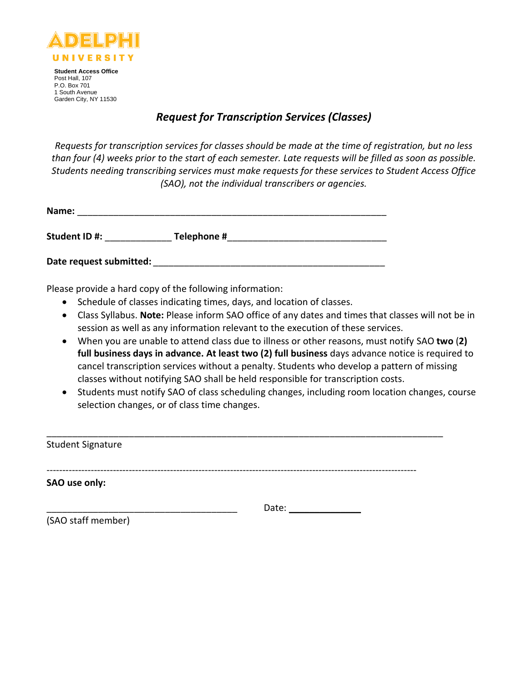

# *Request for Transcription Services (Classes)*

*Requests for transcription services for classes should be made at the time of registration, but no less than four (4) weeks prior to the start of each semester. Late requests will be filled as soon as possible. Students needing transcribing services must make requests for these services to Student Access Office (SAO), not the individual transcribers or agencies.*

| Name:                   |             |  |
|-------------------------|-------------|--|
| Student ID#:            | Telephone # |  |
| Date request submitted: |             |  |

Please provide a hard copy of the following information:

- Schedule of classes indicating times, days, and location of classes.
- Class Syllabus. **Note:** Please inform SAO office of any dates and times that classes will not be in session as well as any information relevant to the execution of these services.
- When you are unable to attend class due to illness or other reasons, must notify SAO **two** (**2) full business days in advance. At least two (2) full business** days advance notice is required to cancel transcription services without a penalty. Students who develop a pattern of missing classes without notifying SAO shall be held responsible for transcription costs.
- Students must notify SAO of class scheduling changes, including room location changes, course selection changes, or of class time changes.

| <b>Student Signature</b> |       |
|--------------------------|-------|
|                          |       |
| SAO use only:            |       |
|                          | Date: |
| (SAO staff member)       |       |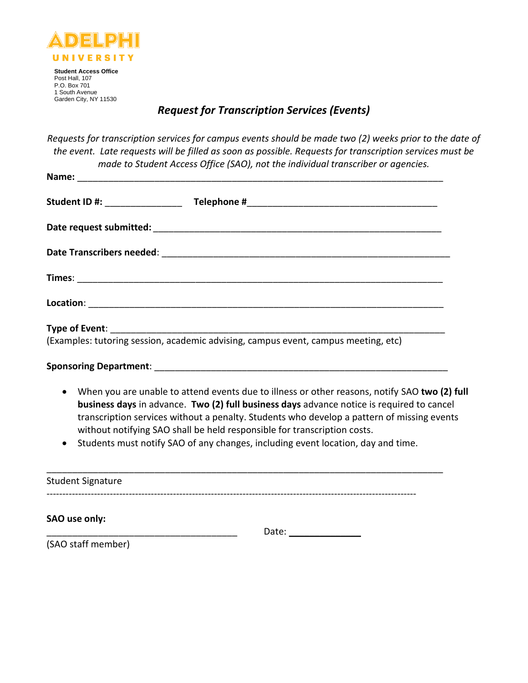

# *Request for Transcription Services (Events)*

*Requests for transcription services for campus events should be made two (2) weeks prior to the date of the event. Late requests will be filled as soon as possible. Requests for transcription services must be made to Student Access Office (SAO), not the individual transcriber or agencies.*

| (Examples: tutoring session, academic advising, campus event, campus meeting, etc)              |  |
|-------------------------------------------------------------------------------------------------|--|
|                                                                                                 |  |
| • When you are unable to attend events due to illness or other reasons, notify SAO two (2) full |  |

- **business days** in advance. **Two (2) full business days** advance notice is required to cancel transcription services without a penalty. Students who develop a pattern of missing events without notifying SAO shall be held responsible for transcription costs.
- Students must notify SAO of any changes, including event location, day and time.

| <b>Student Signature</b> |       |
|--------------------------|-------|
|                          |       |
| SAO use only:            |       |
|                          | Date: |
| (SAO staff member)       |       |